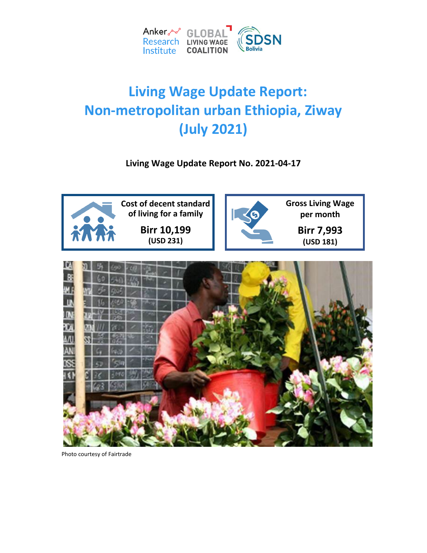

# **Living Wage Update Report: Non-metropolitan urban Ethiopia, Ziway (July 2021)**

**Living Wage Update Report No. 2021-04-17**





Photo courtesy of Fairtrade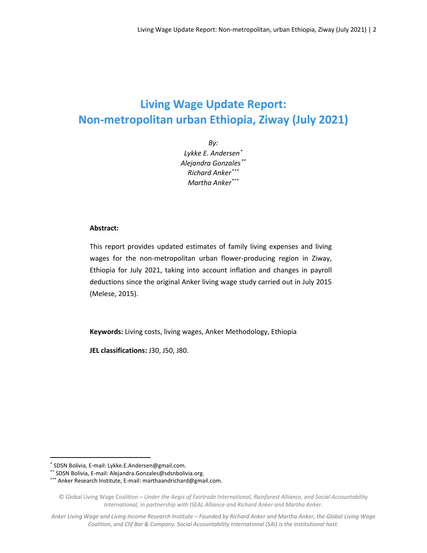# **Living Wage Update Report: Non-metropolitan urban Ethiopia, Ziway (July 2021)**

*By: Lykke E. Andersen[\\*](#page-1-0) Alejandra Gonzales[\\*\\*](#page-1-1) Richard Anker[\\*\\*\\*](#page-1-2) Martha Anker\*\*\**

#### **Abstract:**

This report provides updated estimates of family living expenses and living wages for the non-metropolitan urban flower-producing region in Ziway, Ethiopia for July 2021, taking into account inflation and changes in payroll deductions since the original Anker living wage study carried out in July 2015 (Melese, 2015).

**Keywords:** Living costs, living wages, Anker Methodology, Ethiopia

**JEL classifications:** J30, J50, J80.

<span id="page-1-0"></span> <sup>\*</sup> SDSN Bolivia, E-mail: Lykke.E.Andersen@gmail.com.

<span id="page-1-1"></span><sup>\*\*</sup> SDSN Bolivia, E-mail: Alejandra.Gonzales@sdsnbolivia.org.

<span id="page-1-2"></span><sup>\*\*\*</sup> Anker Research Institute, E-mail[: marthaandrichard@gmail.com.](mailto:marthaandrichard@gmail.com)

<sup>©</sup> Global Living Wage Coalition – *Under the Aegis of Fairtrade International, Rainforest Alliance, and Social Accountability International, in partnership with ISEAL Alliance and Richard Anker and Martha Anker.*

*Anker Living Wage and Living Income Research Institute – Founded by Richard Anker and Martha Anker, the Global Living Wage Coalition, and Clif Bar & Company. Social Accountability International (SAI) is the institutional host.*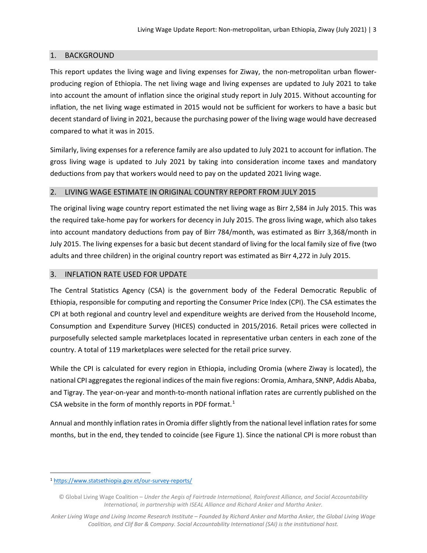## 1. BACKGROUND

This report updates the living wage and living expenses for Ziway, the non-metropolitan urban flowerproducing region of Ethiopia. The net living wage and living expenses are updated to July 2021 to take into account the amount of inflation since the original study report in July 2015. Without accounting for inflation, the net living wage estimated in 2015 would not be sufficient for workers to have a basic but decent standard of living in 2021, because the purchasing power of the living wage would have decreased compared to what it was in 2015.

Similarly, living expenses for a reference family are also updated to July 2021 to account for inflation. The gross living wage is updated to July 2021 by taking into consideration income taxes and mandatory deductions from pay that workers would need to pay on the updated 2021 living wage.

### 2. LIVING WAGE ESTIMATE IN ORIGINAL COUNTRY REPORT FROM JULY 2015

The original living wage country report estimated the net living wage as Birr 2,584 in July 2015. This was the required take-home pay for workers for decency in July 2015. The gross living wage, which also takes into account mandatory deductions from pay of Birr 784/month, was estimated as Birr 3,368/month in July 2015. The living expenses for a basic but decent standard of living for the local family size of five (two adults and three children) in the original country report was estimated as Birr 4,272 in July 2015.

### 3. INFLATION RATE USED FOR UPDATE

The Central Statistics Agency (CSA) is the government body of the Federal Democratic Republic of Ethiopia, responsible for computing and reporting the Consumer Price Index (CPI). The CSA estimates the CPI at both regional and country level and expenditure weights are derived from the Household Income, Consumption and Expenditure Survey (HICES) conducted in 2015/2016. Retail prices were collected in purposefully selected sample marketplaces located in representative urban centers in each zone of the country. A total of 119 marketplaces were selected for the retail price survey.

While the CPI is calculated for every region in Ethiopia, including Oromia (where Ziway is located), the national CPI aggregates the regional indices of the main five regions: Oromia, Amhara, SNNP, Addis Ababa, and Tigray. The year-on-year and month-to-month national inflation rates are currently published on the CSA website in the form of monthly reports in PDF format. [1](#page-2-0)

Annual and monthly inflation rates in Oromia differ slightly from the national level inflation rates for some months, but in the end, they tended to coincide (see Figure 1). Since the national CPI is more robust than

<span id="page-2-0"></span> <sup>1</sup> <https://www.statsethiopia.gov.et/our-survey-reports/>

<sup>©</sup> Global Living Wage Coalition – *Under the Aegis of Fairtrade International, Rainforest Alliance, and Social Accountability International, in partnership with ISEAL Alliance and Richard Anker and Martha Anker.*

*Anker Living Wage and Living Income Research Institute – Founded by Richard Anker and Martha Anker, the Global Living Wage Coalition, and Clif Bar & Company. Social Accountability International (SAI) is the institutional host.*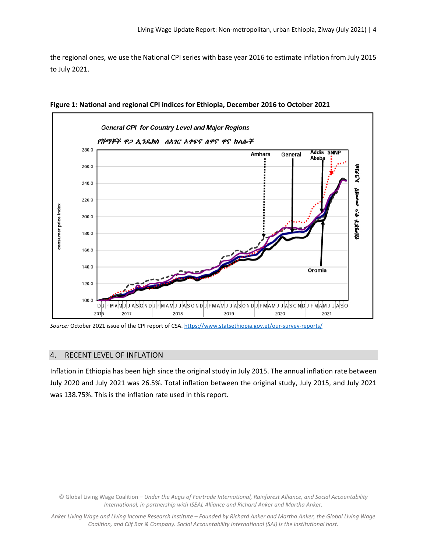the regional ones, we use the National CPI series with base year 2016 to estimate inflation from July 2015 to July 2021.



**Figure 1: National and regional CPI indices for Ethiopia, December 2016 to October 2021**

*Source:* October 2021 issue of the CPI report of CSA[. https://www.statsethiopia.gov.et/our-survey-reports/](https://www.statsethiopia.gov.et/our-survey-reports/)

#### 4. RECENT LEVEL OF INFLATION

Inflation in Ethiopia has been high since the original study in July 2015. The annual inflation rate between July 2020 and July 2021 was 26.5%. Total inflation between the original study, July 2015, and July 2021 was 138.75%. This is the inflation rate used in this report.

© Global Living Wage Coalition – *Under the Aegis of Fairtrade International, Rainforest Alliance, and Social Accountability International, in partnership with ISEAL Alliance and Richard Anker and Martha Anker.*

*Anker Living Wage and Living Income Research Institute – Founded by Richard Anker and Martha Anker, the Global Living Wage Coalition, and Clif Bar & Company. Social Accountability International (SAI) is the institutional host.*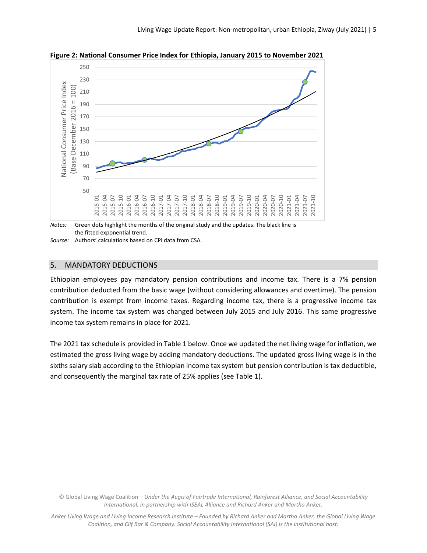

**Figure 2: National Consumer Price Index for Ethiopia, January 2015 to November 2021**

the fitted exponential trend.

*Source:* Authors' calculations based on CPI data from CSA.

### 5. MANDATORY DEDUCTIONS

Ethiopian employees pay mandatory pension contributions and income tax. There is a 7% pension contribution deducted from the basic wage (without considering allowances and overtime). The pension contribution is exempt from income taxes. Regarding income tax, there is a progressive income tax system. The income tax system was changed between July 2015 and July 2016. This same progressive income tax system remains in place for 2021.

The 2021 tax schedule is provided in Table 1 below. Once we updated the net living wage for inflation, we estimated the gross living wage by adding mandatory deductions. The updated gross living wage is in the sixths salary slab according to the Ethiopian income tax system but pension contribution is tax deductible, and consequently the marginal tax rate of 25% applies (see Table 1).

© Global Living Wage Coalition – *Under the Aegis of Fairtrade International, Rainforest Alliance, and Social Accountability International, in partnership with ISEAL Alliance and Richard Anker and Martha Anker.*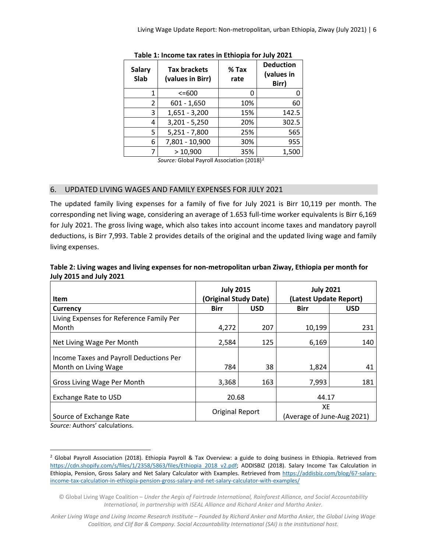| <b>Salary</b><br>Slab | <b>Tax brackets</b><br>(values in Birr) | $%$ Tax<br>rate | <b>Deduction</b><br>(values in<br>Birr) |
|-----------------------|-----------------------------------------|-----------------|-----------------------------------------|
| 1                     | $<=600$                                 | O               |                                         |
| 2                     | $601 - 1,650$                           | 10%             | 60                                      |
| 3                     | $1,651 - 3,200$                         | 15%             | 142.5                                   |
| 4                     | $3,201 - 5,250$                         | 20%             | 302.5                                   |
| 5                     | $5,251 - 7,800$                         | 25%             | 565                                     |
| 6                     | 7,801 - 10,900                          | 30%             | 955                                     |
| 7                     | >10,900                                 | 35%             | 1,500                                   |

|  | Table 1: Income tax rates in Ethiopia for July 2021 |  |  |  |  |
|--|-----------------------------------------------------|--|--|--|--|
|--|-----------------------------------------------------|--|--|--|--|

*Source:* Global Payroll Association (2018)[2](#page-5-0)

### 6. UPDATED LIVING WAGES AND FAMILY EXPENSES FOR JULY 2021

The updated family living expenses for a family of five for July 2021 is Birr 10,119 per month. The corresponding net living wage, considering an average of 1.653 full-time worker equivalents is Birr 6,169 for July 2021. The gross living wage, which also takes into account income taxes and mandatory payroll deductions, is Birr 7,993. Table 2 provides details of the original and the updated living wage and family living expenses.

| Table 2: Living wages and living expenses for non-metropolitan urban Ziway, Ethiopia per month for |
|----------------------------------------------------------------------------------------------------|
| <b>July 2015 and July 2021</b>                                                                     |

|                                          | <b>July 2015</b>      |            | <b>July 2021</b>           |            |
|------------------------------------------|-----------------------|------------|----------------------------|------------|
| <b>Item</b>                              | (Original Study Date) |            | (Latest Update Report)     |            |
| Currency                                 | <b>Birr</b>           | <b>USD</b> | <b>Birr</b>                | <b>USD</b> |
| Living Expenses for Reference Family Per |                       |            |                            |            |
| Month                                    | 4,272                 | 207        | 10,199                     | 231        |
| Net Living Wage Per Month                | 2,584                 | 125        | 6,169                      | 140        |
| Income Taxes and Payroll Deductions Per  |                       |            |                            |            |
| Month on Living Wage                     | 784                   | 38         | 1,824                      | 41         |
| Gross Living Wage Per Month              | 3,368                 | 163        | 7,993                      | 181        |
| Exchange Rate to USD                     | 20.68                 |            | 44.17                      |            |
|                                          | Original Report       |            | XE                         |            |
| Source of Exchange Rate                  |                       |            | (Average of June-Aug 2021) |            |

*Source:* Authors' calculations.

<span id="page-5-0"></span><sup>&</sup>lt;sup>2</sup> Global Payroll Association (2018). Ethiopia Payroll & Tax Overview: a guide to doing business in Ethiopia. Retrieved from [https://cdn.shopify.com/s/files/1/2358/5863/files/Ethiopia\\_2018\\_v2.pdf;](https://cdn.shopify.com/s/files/1/2358/5863/files/Ethiopia_2018_v2.pdf) ADDISBIZ (2018). Salary Income Tax Calculation in Ethiopia, Pension, Gross Salary and Net Salary Calculator with Examples. Retrieved from [https://addisbiz.com/blog/67-salary](https://addisbiz.com/blog/67-salary-income-tax-calculation-in-ethiopia-pension-gross-salary-and-net-salary-calculator-with-examples/)[income-tax-calculation-in-ethiopia-pension-gross-salary-and-net-salary-calculator-with-examples/](https://addisbiz.com/blog/67-salary-income-tax-calculation-in-ethiopia-pension-gross-salary-and-net-salary-calculator-with-examples/)

<sup>©</sup> Global Living Wage Coalition – *Under the Aegis of Fairtrade International, Rainforest Alliance, and Social Accountability International, in partnership with ISEAL Alliance and Richard Anker and Martha Anker.*

*Anker Living Wage and Living Income Research Institute – Founded by Richard Anker and Martha Anker, the Global Living Wage Coalition, and Clif Bar & Company. Social Accountability International (SAI) is the institutional host.*